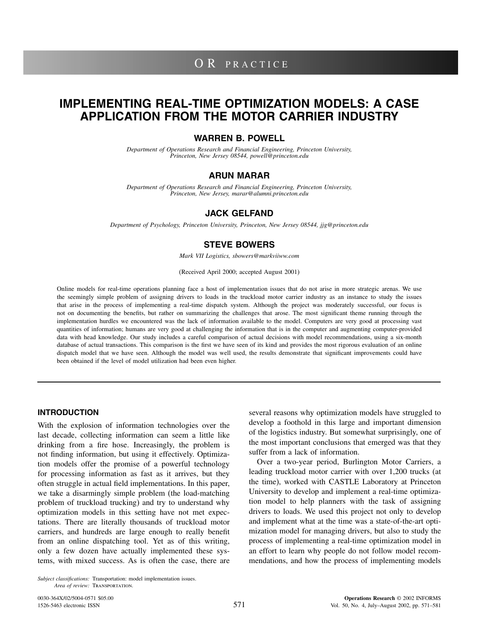# OR PRACTICE

# IMPLEMENTING REAL-TIME OPTIMIZATION MODELS: A CASE APPLICATION FROM THE MOTOR CARRIER INDUSTRY

## WARREN B. POWELL

Department of Operations Research and Financial Engineering, Princeton University, Princeton, New Jersey 08544, powell@princeton.edu

# ARUN MARAR

Department of Operations Research and Financial Engineering, Princeton University, Princeton, New Jersey, marar@alumni.princeton.edu

# JACK GELFAND

Department of Psychology, Princeton University, Princeton, New Jersey 08544, jjg@princeton.edu

# STEVE BOWERS

Mark VII Logistics, sbowers@markviiww.com

(Received April 2000; accepted August 2001)

Online models for real-time operations planning face a host of implementation issues that do not arise in more strategic arenas. We use the seemingly simple problem of assigning drivers to loads in the truckload motor carrier industry as an instance to study the issues that arise in the process of implementing a real-time dispatch system. Although the project was moderately successful, our focus is not on documenting the benefits, but rather on summarizing the challenges that arose. The most significant theme running through the implementation hurdles we encountered was the lack of information available to the model. Computers are very good at processing vast quantities of information; humans are very good at challenging the information that is in the computer and augmenting computer-provided data with head knowledge. Our study includes a careful comparison of actual decisions with model recommendations, using a six-month database of actual transactions. This comparison is the first we have seen of its kind and provides the most rigorous evaluation of an online dispatch model that we have seen. Although the model was well used, the results demonstrate that significant improvements could have been obtained if the level of model utilization had been even higher.

# INTRODUCTION

With the explosion of information technologies over the last decade, collecting information can seem a little like drinking from a fire hose. Increasingly, the problem is not finding information, but using it effectively. Optimization models offer the promise of a powerful technology for processing information as fast as it arrives, but they often struggle in actual field implementations. In this paper, we take a disarmingly simple problem (the load-matching problem of truckload trucking) and try to understand why optimization models in this setting have not met expectations. There are literally thousands of truckload motor carriers, and hundreds are large enough to really benefit from an online dispatching tool. Yet as of this writing, only a few dozen have actually implemented these systems, with mixed success. As is often the case, there are several reasons why optimization models have struggled to develop a foothold in this large and important dimension of the logistics industry. But somewhat surprisingly, one of the most important conclusions that emerged was that they suffer from a lack of information.

Over a two-year period, Burlington Motor Carriers, a leading truckload motor carrier with over 1,200 trucks (at the time), worked with CASTLE Laboratory at Princeton University to develop and implement a real-time optimization model to help planners with the task of assigning drivers to loads. We used this project not only to develop and implement what at the time was a state-of-the-art optimization model for managing drivers, but also to study the process of implementing a real-time optimization model in an effort to learn why people do not follow model recommendations, and how the process of implementing models

Subject classifications: Transportation: model implementation issues. Area of review: TRANSPORTATION.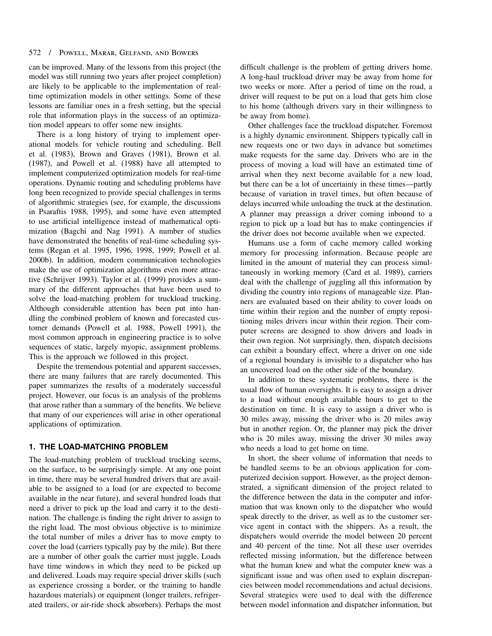can be improved. Many of the lessons from this project (the model was still running two years after project completion) are likely to be applicable to the implementation of realtime optimization models in other settings. Some of these lessons are familiar ones in a fresh setting, but the special role that information plays in the success of an optimization model appears to offer some new insights.

There is a long history of trying to implement operational models for vehicle routing and scheduling. Bell et al. (1983), Brown and Graves (1981), Brown et al. (1987), and Powell et al. (1988) have all attempted to implement computerized optimization models for real-time operations. Dynamic routing and scheduling problems have long been recognized to provide special challenges in terms of algorithmic strategies (see, for example, the discussions in Psaraftis 1988, 1995), and some have even attempted to use artificial intelligence instead of mathematical optimization (Bagchi and Nag 1991). A number of studies have demonstrated the benefits of real-time scheduling systems (Regan et al. 1995, 1996, 1998, 1999; Powell et al. 2000b). In addition, modern communication technologies make the use of optimization algorithms even more attractive (Schrijver 1993). Taylor et al. (1999) provides a summary of the different approaches that have been used to solve the load-matching problem for truckload trucking. Although considerable attention has been put into handling the combined problem of known and forecasted customer demands (Powell et al. 1988, Powell 1991), the most common approach in engineering practice is to solve sequences of static, largely myopic, assignment problems. This is the approach we followed in this project.

Despite the tremendous potential and apparent successes, there are many failures that are rarely documented. This paper summarizes the results of a moderately successful project. However, our focus is an analysis of the problems that arose rather than a summary of the benefits. We believe that many of our experiences will arise in other operational applications of optimization.

## 1. THE LOAD-MATCHING PROBLEM

The load-matching problem of truckload trucking seems, on the surface, to be surprisingly simple. At any one point in time, there may be several hundred drivers that are available to be assigned to a load (or are expected to become available in the near future), and several hundred loads that need a driver to pick up the load and carry it to the destination. The challenge is finding the right driver to assign to the right load. The most obvious objective is to minimize the total number of miles a driver has to move empty to cover the load (carriers typically pay by the mile). But there are a number of other goals the carrier must juggle. Loads have time windows in which they need to be picked up and delivered. Loads may require special driver skills (such as experience crossing a border, or the training to handle hazardous materials) or equipment (longer trailers, refrigerated trailers, or air-ride shock absorbers). Perhaps the most difficult challenge is the problem of getting drivers home. A long-haul truckload driver may be away from home for two weeks or more. After a period of time on the road, a driver will request to be put on a load that gets him close to his home (although drivers vary in their willingness to be away from home).

Other challenges face the truckload dispatcher. Foremost is a highly dynamic environment. Shippers typically call in new requests one or two days in advance but sometimes make requests for the same day. Drivers who are in the process of moving a load will have an estimated time of arrival when they next become available for a new load, but there can be a lot of uncertainty in these times—partly because of variation in travel times, but often because of delays incurred while unloading the truck at the destination. A planner may preassign a driver coming inbound to a region to pick up a load but has to make contingencies if the driver does not become available when we expected.

Humans use a form of cache memory called working memory for processing information. Because people are limited in the amount of material they can process simultaneously in working memory (Card et al. 1989), carriers deal with the challenge of juggling all this information by dividing the country into regions of manageable size. Planners are evaluated based on their ability to cover loads on time within their region and the number of empty repositioning miles drivers incur within their region. Their computer screens are designed to show drivers and loads in their own region. Not surprisingly, then, dispatch decisions can exhibit a boundary effect, where a driver on one side of a regional boundary is invisible to a dispatcher who has an uncovered load on the other side of the boundary.

In addition to these systematic problems, there is the usual flow of human oversights. It is easy to assign a driver to a load without enough available hours to get to the destination on time. It is easy to assign a driver who is 30 miles away, missing the driver who is 20 miles away but in another region. Or, the planner may pick the driver who is 20 miles away, missing the driver 30 miles away who needs a load to get home on time.

In short, the sheer volume of information that needs to be handled seems to be an obvious application for computerized decision support. However, as the project demonstrated, a significant dimension of the project related to the difference between the data in the computer and information that was known only to the dispatcher who would speak directly to the driver, as well as to the customer service agent in contact with the shippers. As a result, the dispatchers would override the model between 20 percent and 40 percent of the time. Not all these user overrides reflected missing information, but the difference between what the human knew and what the computer knew was a significant issue and was often used to explain discrepancies between model recommendations and actual decisions. Several strategies were used to deal with the difference between model information and dispatcher information, but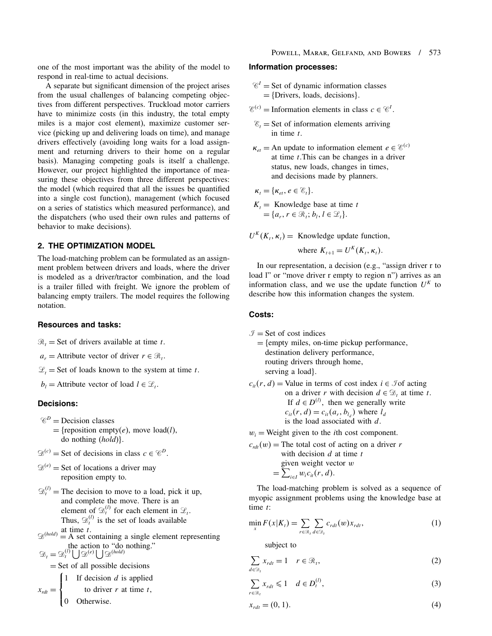one of the most important was the ability of the model to respond in real-time to actual decisions.

A separate but significant dimension of the project arises from the usual challenges of balancing competing objectives from different perspectives. Truckload motor carriers have to minimize costs (in this industry, the total empty miles is a major cost element), maximize customer service (picking up and delivering loads on time), and manage drivers effectively (avoiding long waits for a load assignment and returning drivers to their home on a regular basis). Managing competing goals is itself a challenge. However, our project highlighted the importance of measuring these objectives from three different perspectives: the model (which required that all the issues be quantified into a single cost function), management (which focused on a series of statistics which measured performance), and the dispatchers (who used their own rules and patterns of behavior to make decisions).

# 2. THE OPTIMIZATION MODEL

The load-matching problem can be formulated as an assignment problem between drivers and loads, where the driver is modeled as a driver/tractor combination, and the load is a trailer filled with freight. We ignore the problem of balancing empty trailers. The model requires the following notation.

#### Resources and tasks:

- $\mathcal{R}_t$  = Set of drivers available at time t.
- $a_r$  = Attribute vector of driver  $r \in \mathcal{R}_t$ .
- $\mathcal{L}_t$  = Set of loads known to the system at time t.
- $b_l$  = Attribute vector of load  $l \in \mathcal{L}_t$ .

#### Decisions:

- $\mathcal{C}^D$  = Decision classes
	- $=$  {reposition empty $(e)$ , move load $(l)$ , do nothing (hold).
- $\mathcal{D}^{(c)}$  = Set of decisions in class  $c \in \mathcal{C}^D$ .
- $\mathcal{D}^{(e)}$  = Set of locations a driver may reposition empty to.
- $\mathcal{D}_t^{(l)}$  = The decision to move to a load, pick it up, and complete the move. There is an element of  $\mathfrak{D}_t^{(l)}$  for each element in  $\mathcal{L}_t$ . Thus,  $\mathcal{D}_t^{(l)}$  is the set of loads available
- $\mathcal{D}^{(hold)} = A$  set containing a single element representing the action to "do nothing."<br> $\mathcal{D}_t = \mathcal{D}_t^{(l)} \bigcup \mathcal{D}_t^{(e)} \bigcup \mathcal{D}_t^{(hold)}$

$$
=
$$
 Set of all possible decisions

$$
x_{rdt} = \begin{cases} 1 & \text{If decision } d \text{ is applied} \\ & \text{to driver } r \text{ at time } t, \\ 0 & \text{Otherwise.} \end{cases}
$$

#### Information processes:

- $\mathcal{C}^I$  = Set of dynamic information classes  $=$  {Drivers, loads, decisions}.
- $\mathscr{E}^{(c)}$  = Information elements in class  $c \in \mathscr{C}^l$ .
- $\mathscr{E}_t$  = Set of information elements arriving in time  $t$ .
- $\kappa_{et}$  = An update to information element  $e \in \mathcal{E}^{(c)}$ at time  $t$ . This can be changes in a driver status, new loads, changes in times and decisions made by planners.

$$
\kappa_t = {\kappa_{et}, e \in \mathcal{E}_t}.
$$

 $K_t$  = Knowledge base at time t  $= \{a_r, r \in \mathcal{R}_t; b_l, l \in \mathcal{L}_t\}.$ 

 $U^{K}(K_{t}, \kappa_{t}) =$  Knowledge update function,

where 
$$
K_{t+1} = U^K(K_t, \kappa_t)
$$
.

In our representation, a decision (e.g., "assign driver r to load l" or "move driver r empty to region n") arrives as an information class, and we use the update function  $U^{K}$  to describe how this information changes the system.

#### Costs:

 $\mathcal{I} =$  Set of cost indices

- = {empty miles, on-time pickup performance, destination delivery performance, routing drivers through home serving a load}.
- $c_{it}(r, d)$  = Value in terms of cost index  $i \in \mathcal{I}$  of acting on a driver r with decision  $d \in \mathcal{D}_t$  at time t. If  $d \in D^{(l)}$ , then we generally write  $c_{it}(r, d) = c_{it}(a_r, b_{l_d})$  where  $l_d$ is the load associated with  $d$ .

 $w_i$  = Weight given to the *i*th cost component.

 $c_{rdt}(w)$  = The total cost of acting on a driver r with decision  $d$  at time  $t$ given weight vector w  $= \sum_{i \in I} w_i c_{it}(r, d).$ 

The load-matching problem is solved as a sequence of myopic assignment problems using the knowledge base at time t:

$$
\min_{x} F(x|K_t) = \sum_{r \in \mathcal{R}_t} \sum_{d \in \mathcal{D}_t} c_{rdt}(w) x_{rdt},
$$
\n(1)

subject to

$$
\sum_{d \in \mathcal{D}_t} x_{rdt} = 1 \quad r \in \mathcal{R}_t,
$$
\n(2)

$$
\sum_{r \in \mathcal{R}_t} x_{rdt} \leq 1 \quad d \in D_t^{(l)},\tag{3}
$$

$$
x_{rdt} = (0, 1). \t\t(4)
$$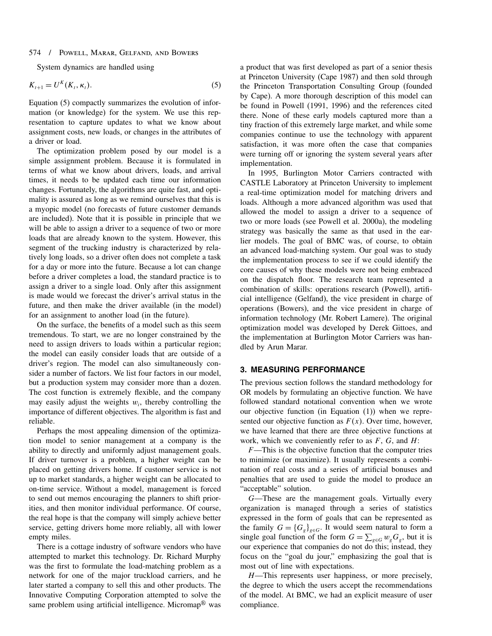#### 574 / Powell, Marar, Gelfand, and Bowers

System dynamics are handled using

$$
K_{t+1} = U^K(K_t, \kappa_t). \tag{5}
$$

Equation (5) compactly summarizes the evolution of information (or knowledge) for the system. We use this representation to capture updates to what we know about assignment costs, new loads, or changes in the attributes of a driver or load.

The optimization problem posed by our model is a simple assignment problem. Because it is formulated in terms of what we know about drivers, loads, and arrival times, it needs to be updated each time our information changes. Fortunately, the algorithms are quite fast, and optimality is assured as long as we remind ourselves that this is a myopic model (no forecasts of future customer demands are included). Note that it is possible in principle that we will be able to assign a driver to a sequence of two or more loads that are already known to the system. However, this segment of the trucking industry is characterized by relatively long loads, so a driver often does not complete a task for a day or more into the future. Because a lot can change before a driver completes a load, the standard practice is to assign a driver to a single load. Only after this assignment is made would we forecast the driver's arrival status in the future, and then make the driver available (in the model) for an assignment to another load (in the future).

On the surface, the benefits of a model such as this seem tremendous. To start, we are no longer constrained by the need to assign drivers to loads within a particular region; the model can easily consider loads that are outside of a driver's region. The model can also simultaneously consider a number of factors. We list four factors in our model, but a production system may consider more than a dozen. The cost function is extremely flexible, and the company may easily adjust the weights  $w_i$ , thereby controlling the importance of different objectives. The algorithm is fast and reliable.

Perhaps the most appealing dimension of the optimization model to senior management at a company is the ability to directly and uniformly adjust management goals. If driver turnover is a problem, a higher weight can be placed on getting drivers home. If customer service is not up to market standards, a higher weight can be allocated to on-time service. Without a model, management is forced to send out memos encouraging the planners to shift priorities, and then monitor individual performance. Of course, the real hope is that the company will simply achieve better service, getting drivers home more reliably, all with lower empty miles.

There is a cottage industry of software vendors who have attempted to market this technology. Dr. Richard Murphy was the first to formulate the load-matching problem as a network for one of the major truckload carriers, and he later started a company to sell this and other products. The Innovative Computing Corporation attempted to solve the same problem using artificial intelligence. Micromap<sup>®</sup> was a product that was first developed as part of a senior thesis at Princeton University (Cape 1987) and then sold through the Princeton Transportation Consulting Group (founded by Cape). A more thorough description of this model can be found in Powell (1991, 1996) and the references cited there. None of these early models captured more than a tiny fraction of this extremely large market, and while some companies continue to use the technology with apparent satisfaction, it was more often the case that companies were turning off or ignoring the system several years after implementation.

In 1995, Burlington Motor Carriers contracted with CASTLE Laboratory at Princeton University to implement a real-time optimization model for matching drivers and loads. Although a more advanced algorithm was used that allowed the model to assign a driver to a sequence of two or more loads (see Powell et al. 2000a), the modeling strategy was basically the same as that used in the earlier models. The goal of BMC was, of course, to obtain an advanced load-matching system. Our goal was to study the implementation process to see if we could identify the core causes of why these models were not being embraced on the dispatch floor. The research team represented a combination of skills: operations research (Powell), artificial intelligence (Gelfand), the vice president in charge of operations (Bowers), and the vice president in charge of information technology (Mr. Robert Lamere). The original optimization model was developed by Derek Gittoes, and the implementation at Burlington Motor Carriers was handled by Arun Marar.

## 3. MEASURING PERFORMANCE

The previous section follows the standard methodology for OR models by formulating an objective function. We have followed standard notational convention when we wrote our objective function (in Equation (1)) when we represented our objective function as  $F(x)$ . Over time, however, we have learned that there are three objective functions at work, which we conveniently refer to as  $F$ ,  $G$ , and  $H$ :

 $F$ —This is the objective function that the computer tries to minimize (or maximize). It usually represents a combination of real costs and a series of artificial bonuses and penalties that are used to guide the model to produce an "acceptable" solution.

G—These are the management goals. Virtually every organization is managed through a series of statistics expressed in the form of goals that can be represented as the family  $G = \{G_g\}_{g \in G}$ . It would seem natural to form a single goal function of the form  $G = \sum_{g \in G} w_g G_g$ , but it is our experience that companies do not do this; instead, they focus on the "goal du jour," emphasizing the goal that is most out of line with expectations.

H—This represents user happiness, or more precisely, the degree to which the users accept the recommendations of the model. At BMC, we had an explicit measure of user compliance.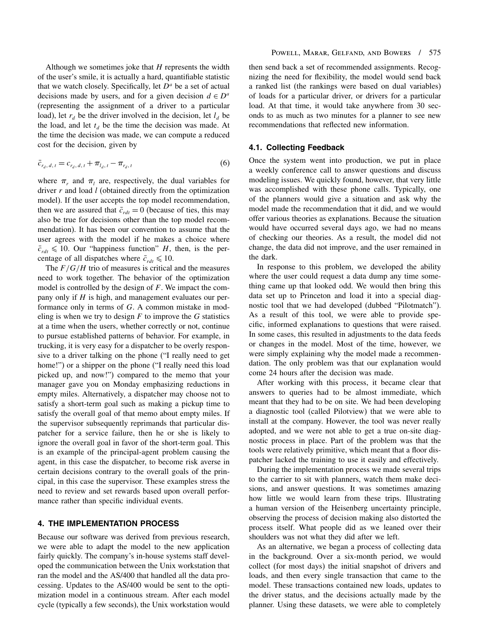Although we sometimes joke that  $H$  represents the width of the user's smile, it is actually a hard, quantifiable statistic that we watch closely. Specifically, let  $D<sup>a</sup>$  be a set of actual decisions made by users, and for a given decision  $d \in D^a$ (representing the assignment of a driver to a particular load), let  $r_d$  be the driver involved in the decision, let  $l_d$  be the load, and let  $t_d$  be the time the decision was made. At the time the decision was made, we can compute a reduced cost for the decision, given by

$$
\bar{c}_{r_d, d, t} = c_{r_d, d, t} + \pi_{l_d, t} - \pi_{r_d, t}
$$
\n(6)

where  $\pi_r$  and  $\pi_l$  are, respectively, the dual variables for driver  $r$  and load  $l$  (obtained directly from the optimization model). If the user accepts the top model recommendation, then we are assured that  $\bar{c}_{rdt} = 0$  (because of ties, this may also be true for decisions other than the top model recommendation). It has been our convention to assume that the user agrees with the model if he makes a choice where  $\bar{c}_{rdt} \leq 10$ . Our "happiness function" H, then, is the percentage of all dispatches where  $\bar{c}_{rdt} \leq 10$ .

The  $F/G/H$  trio of measures is critical and the measures need to work together. The behavior of the optimization model is controlled by the design of F. We impact the company only if  $H$  is high, and management evaluates our performance only in terms of G. A common mistake in modeling is when we try to design  $F$  to improve the  $G$  statistics at a time when the users, whether correctly or not, continue to pursue established patterns of behavior. For example, in trucking, it is very easy for a dispatcher to be overly responsive to a driver talking on the phone ("I really need to get home!") or a shipper on the phone ("I really need this load picked up, and now!") compared to the memo that your manager gave you on Monday emphasizing reductions in empty miles. Alternatively, a dispatcher may choose not to satisfy a short-term goal such as making a pickup time to satisfy the overall goal of that memo about empty miles. If the supervisor subsequently reprimands that particular dispatcher for a service failure, then he or she is likely to ignore the overall goal in favor of the short-term goal. This is an example of the principal-agent problem causing the agent, in this case the dispatcher, to become risk averse in certain decisions contrary to the overall goals of the principal, in this case the supervisor. These examples stress the need to review and set rewards based upon overall performance rather than specific individual events.

## 4. THE IMPLEMENTATION PROCESS

Because our software was derived from previous research, we were able to adapt the model to the new application fairly quickly. The company's in-house systems staff developed the communication between the Unix workstation that ran the model and the AS/400 that handled all the data processing. Updates to the AS/400 would be sent to the optimization model in a continuous stream. After each model cycle (typically a few seconds), the Unix workstation would then send back a set of recommended assignments. Recognizing the need for flexibility, the model would send back a ranked list (the rankings were based on dual variables) of loads for a particular driver, or drivers for a particular load. At that time, it would take anywhere from 30 seconds to as much as two minutes for a planner to see new recommendations that reflected new information.

## 4.1. Collecting Feedback

Once the system went into production, we put in place a weekly conference call to answer questions and discuss modeling issues. We quickly found, however, that very little was accomplished with these phone calls. Typically, one of the planners would give a situation and ask why the model made the recommendation that it did, and we would offer various theories as explanations. Because the situation would have occurred several days ago, we had no means of checking our theories. As a result, the model did not change, the data did not improve, and the user remained in the dark.

In response to this problem, we developed the ability where the user could request a data dump any time something came up that looked odd. We would then bring this data set up to Princeton and load it into a special diagnostic tool that we had developed (dubbed "Pilotmatch"). As a result of this tool, we were able to provide specific, informed explanations to questions that were raised. In some cases, this resulted in adjustments to the data feeds or changes in the model. Most of the time, however, we were simply explaining why the model made a recommendation. The only problem was that our explanation would come 24 hours after the decision was made.

After working with this process, it became clear that answers to queries had to be almost immediate, which meant that they had to be on site. We had been developing a diagnostic tool (called Pilotview) that we were able to install at the company. However, the tool was never really adopted, and we were not able to get a true on-site diagnostic process in place. Part of the problem was that the tools were relatively primitive, which meant that a floor dispatcher lacked the training to use it easily and effectively.

During the implementation process we made several trips to the carrier to sit with planners, watch them make decisions, and answer questions. It was sometimes amazing how little we would learn from these trips. Illustrating a human version of the Heisenberg uncertainty principle, observing the process of decision making also distorted the process itself. What people did as we leaned over their shoulders was not what they did after we left.

As an alternative, we began a process of collecting data in the background. Over a six-month period, we would collect (for most days) the initial snapshot of drivers and loads, and then every single transaction that came to the model. These transactions contained new loads, updates to the driver status, and the decisions actually made by the planner. Using these datasets, we were able to completely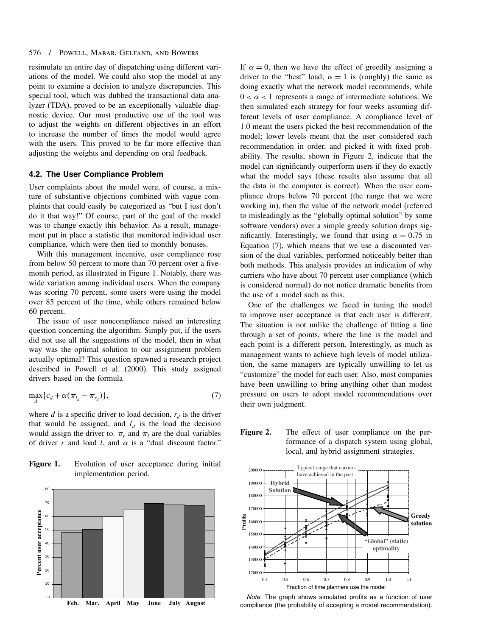resimulate an entire day of dispatching using different variations of the model. We could also stop the model at any point to examine a decision to analyze discrepancies. This special tool, which was dubbed the transactional data analyzer (TDA), proved to be an exceptionally valuable diagnostic device. Our most productive use of the tool was to adjust the weights on different objectives in an effort to increase the number of times the model would agree with the users. This proved to be far more effective than adjusting the weights and depending on oral feedback.

#### 4.2. The User Compliance Problem

User complaints about the model were, of course, a mixture of substantive objections combined with vague complaints that could easily be categorized as "but I just don't do it that way!" Of course, part of the goal of the model was to change exactly this behavior. As a result, management put in place a statistic that monitored individual user compliance, which were then tied to monthly bonuses.

With this management incentive, user compliance rose from below 50 percent to more than 70 percent over a fivemonth period, as illustrated in Figure 1. Notably, there was wide variation among individual users. When the company was scoring 70 percent, some users were using the model over 85 percent of the time, while others remained below 60 percent.

The issue of user noncompliance raised an interesting question concerning the algorithm. Simply put, if the users did not use all the suggestions of the model, then in what way was the optimal solution to our assignment problem actually optimal? This question spawned a research project described in Powell et al. (2000). This study assigned drivers based on the formula

$$
\max_{d} \{c_d + \alpha (\pi_{l_d} - \pi_{r_d})\},\tag{7}
$$

where d is a specific driver to load decision,  $r_d$  is the driver that would be assigned, and  $l_d$  is the load the decision would assign the driver to.  $\pi_r$  and  $\pi_l$  are the dual variables of driver r and load l, and  $\alpha$  is a "dual discount factor."

Figure 1. Evolution of user acceptance during initial implementation period.



If  $\alpha = 0$ , then we have the effect of greedily assigning a driver to the "best" load;  $\alpha = 1$  is (roughly) the same as doing exactly what the network model recommends, while  $0 < \alpha < 1$  represents a range of intermediate solutions. We then simulated each strategy for four weeks assuming different levels of user compliance. A compliance level of 1.0 meant the users picked the best recommendation of the model; lower levels meant that the user considered each recommendation in order, and picked it with fixed probability. The results, shown in Figure 2, indicate that the model can significantly outperform users if they do exactly what the model says (these results also assume that all the data in the computer is correct). When the user compliance drops below 70 percent (the range that we were working in), then the value of the network model (referred to misleadingly as the "globally optimal solution" by some software vendors) over a simple greedy solution drops sigmificantly. Interestingly, we found that using  $\alpha = 0.75$  in Equation (7), which means that we use a discounted version of the dual variables, performed noticeably better than both methods. This analysis provides an indication of why carriers who have about 70 percent user compliance (which is considered normal) do not notice dramatic benefits from the use of a model such as this.

One of the challenges we faced in tuning the model to improve user acceptance is that each user is different. The situation is not unlike the challenge of fitting a line through a set of points, where the line is the model and each point is a different person. Interestingly, as much as management wants to achieve high levels of model utilization, the same managers are typically unwilling to let us "customize" the model for each user. Also, most companies have been unwilling to bring anything other than modest pressure on users to adopt model recommendations over their own judgment.



Figure 2. The effect of user compliance on the performance of a dispatch system using global, local, and hybrid assignment strategies.

Note. The graph shows simulated profits as a function of user compliance (the probability of accepting a model recommendation).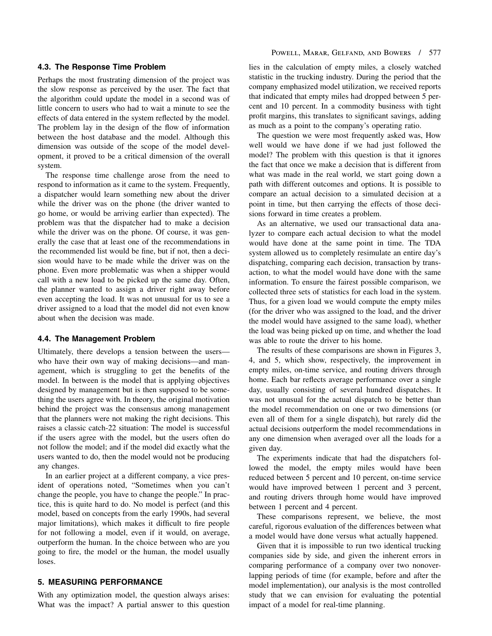#### 4.3. The Response Time Problem

Perhaps the most frustrating dimension of the project was the slow response as perceived by the user. The fact that the algorithm could update the model in a second was of little concern to users who had to wait a minute to see the effects of data entered in the system reflected by the model. The problem lay in the design of the flow of information between the host database and the model. Although this dimension was outside of the scope of the model development, it proved to be a critical dimension of the overall system.

The response time challenge arose from the need to respond to information as it came to the system. Frequently, a dispatcher would learn something new about the driver while the driver was on the phone (the driver wanted to go home, or would be arriving earlier than expected). The problem was that the dispatcher had to make a decision while the driver was on the phone. Of course, it was generally the case that at least one of the recommendations in the recommended list would be fine, but if not, then a decision would have to be made while the driver was on the phone. Even more problematic was when a shipper would call with a new load to be picked up the same day. Often, the planner wanted to assign a driver right away before even accepting the load. It was not unusual for us to see a driver assigned to a load that the model did not even know about when the decision was made.

#### 4.4. The Management Problem

Ultimately, there develops a tension between the users who have their own way of making decisions—and management, which is struggling to get the benefits of the model. In between is the model that is applying objectives designed by management but is then supposed to be something the users agree with. In theory, the original motivation behind the project was the consensus among management that the planners were not making the right decisions. This raises a classic catch-22 situation: The model is successful if the users agree with the model, but the users often do not follow the model; and if the model did exactly what the users wanted to do, then the model would not be producing any changes.

In an earlier project at a different company, a vice president of operations noted, "Sometimes when you can't change the people, you have to change the people." In practice, this is quite hard to do. No model is perfect (and this model, based on concepts from the early 1990s, had several major limitations), which makes it difficult to fire people for not following a model, even if it would, on average, outperform the human. In the choice between who are you going to fire, the model or the human, the model usually loses.

#### 5. MEASURING PERFORMANCE

With any optimization model, the question always arises: What was the impact? A partial answer to this question

lies in the calculation of empty miles, a closely watched statistic in the trucking industry. During the period that the company emphasized model utilization, we received reports that indicated that empty miles had dropped between 5 percent and 10 percent. In a commodity business with tight profit margins, this translates to significant savings, adding as much as a point to the company's operating ratio.

The question we were most frequently asked was, How well would we have done if we had just followed the model? The problem with this question is that it ignores the fact that once we make a decision that is different from what was made in the real world, we start going down a path with different outcomes and options. It is possible to compare an actual decision to a simulated decision at a point in time, but then carrying the effects of those decisions forward in time creates a problem.

As an alternative, we used our transactional data analyzer to compare each actual decision to what the model would have done at the same point in time. The TDA system allowed us to completely resimulate an entire day's dispatching, comparing each decision, transaction by transaction, to what the model would have done with the same information. To ensure the fairest possible comparison, we collected three sets of statistics for each load in the system. Thus, for a given load we would compute the empty miles (for the driver who was assigned to the load, and the driver the model would have assigned to the same load), whether the load was being picked up on time, and whether the load was able to route the driver to his home.

The results of these comparisons are shown in Figures 3, 4, and 5, which show, respectively, the improvement in empty miles, on-time service, and routing drivers through home. Each bar reflects average performance over a single day, usually consisting of several hundred dispatches. It was not unusual for the actual dispatch to be better than the model recommendation on one or two dimensions (or even all of them for a single dispatch), but rarely did the actual decisions outperform the model recommendations in any one dimension when averaged over all the loads for a given day.

The experiments indicate that had the dispatchers followed the model, the empty miles would have been reduced between 5 percent and 10 percent, on-time service would have improved between 1 percent and 3 percent, and routing drivers through home would have improved between 1 percent and 4 percent.

These comparisons represent, we believe, the most careful, rigorous evaluation of the differences between what a model would have done versus what actually happened.

Given that it is impossible to run two identical trucking companies side by side, and given the inherent errors in comparing performance of a company over two nonoverlapping periods of time (for example, before and after the model implementation), our analysis is the most controlled study that we can envision for evaluating the potential impact of a model for real-time planning.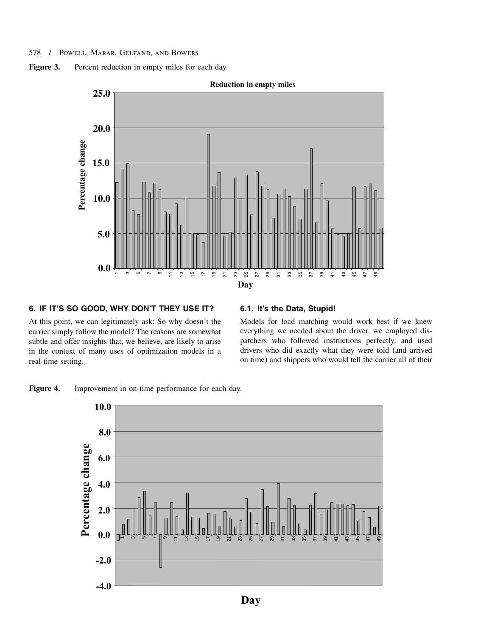#### 578 / Powell, Marar, Gelfand, and Bowers





# 6. IF IT'S SO GOOD, WHY DON'T THEY USE IT?

At this point, we can legitimately ask: So why doesn't the carrier simply follow the model? The reasons are somewhat subtle and offer insights that, we believe, are likely to arise in the context of many uses of optimization models in a real-time setting.

#### 6.1. It's the Data, Stupid!

Models for load matching would work best if we knew everything we needed about the driver, we employed dispatchers who followed instructions perfectly, and used drivers who did exactly what they were told (and arrived on time) and shippers who would tell the carrier all of their

Figure 4. Improvement in on-time performance for each day.

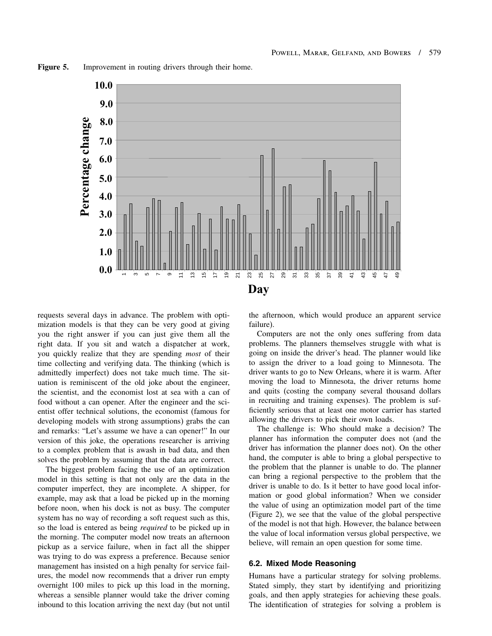

Figure 5. Improvement in routing drivers through their home.

requests several days in advance. The problem with optimization models is that they can be very good at giving you the right answer if you can just give them all the right data. If you sit and watch a dispatcher at work, you quickly realize that they are spending *most* of their time collecting and verifying data. The thinking (which is admittedly imperfect) does not take much time. The situation is reminiscent of the old joke about the engineer, the scientist, and the economist lost at sea with a can of food without a can opener. After the engineer and the scientist offer technical solutions, the economist (famous for developing models with strong assumptions) grabs the can and remarks: "Let's assume we have a can opener!" In our version of this joke, the operations researcher is arriving to a complex problem that is awash in bad data, and then solves the problem by assuming that the data are correct.

The biggest problem facing the use of an optimization model in this setting is that not only are the data in the computer imperfect, they are incomplete. A shipper, for example, may ask that a load be picked up in the morning before noon, when his dock is not as busy. The computer system has no way of recording a soft request such as this, so the load is entered as being required to be picked up in the morning. The computer model now treats an afternoon pickup as a service failure, when in fact all the shipper was trying to do was express a preference. Because senior management has insisted on a high penalty for service failures, the model now recommends that a driver run empty overnight 100 miles to pick up this load in the morning, whereas a sensible planner would take the driver coming inbound to this location arriving the next day (but not until

the afternoon, which would produce an apparent service failure).

Computers are not the only ones suffering from data problems. The planners themselves struggle with what is going on inside the driver's head. The planner would like to assign the driver to a load going to Minnesota. The driver wants to go to New Orleans, where it is warm. After moving the load to Minnesota, the driver returns home and quits (costing the company several thousand dollars in recruiting and training expenses). The problem is sufficiently serious that at least one motor carrier has started allowing the drivers to pick their own loads.

The challenge is: Who should make a decision? The planner has information the computer does not (and the driver has information the planner does not). On the other hand, the computer is able to bring a global perspective to the problem that the planner is unable to do. The planner can bring a regional perspective to the problem that the driver is unable to do. Is it better to have good local information or good global information? When we consider the value of using an optimization model part of the time (Figure 2), we see that the value of the global perspective of the model is not that high. However, the balance between the value of local information versus global perspective, we believe, will remain an open question for some time.

## 6.2. Mixed Mode Reasoning

Humans have a particular strategy for solving problems. Stated simply, they start by identifying and prioritizing goals, and then apply strategies for achieving these goals. The identification of strategies for solving a problem is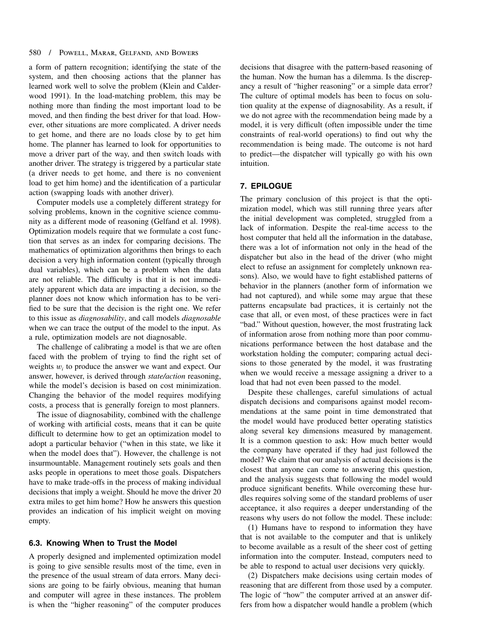#### 580 / Powell, Marar, Gelfand, and Bowers

a form of pattern recognition; identifying the state of the system, and then choosing actions that the planner has learned work well to solve the problem (Klein and Calderwood 1991). In the load-matching problem, this may be nothing more than finding the most important load to be moved, and then finding the best driver for that load. However, other situations are more complicated. A driver needs to get home, and there are no loads close by to get him home. The planner has learned to look for opportunities to move a driver part of the way, and then switch loads with another driver. The strategy is triggered by a particular state (a driver needs to get home, and there is no convenient load to get him home) and the identification of a particular action (swapping loads with another driver).

Computer models use a completely different strategy for solving problems, known in the cognitive science community as a different mode of reasoning (Gelfand et al. 1998). Optimization models require that we formulate a cost function that serves as an index for comparing decisions. The mathematics of optimization algorithms then brings to each decision a very high information content (typically through dual variables), which can be a problem when the data are not reliable. The difficulty is that it is not immediately apparent which data are impacting a decision, so the planner does not know which information has to be verified to be sure that the decision is the right one. We refer to this issue as diagnosability, and call models diagnosable when we can trace the output of the model to the input. As a rule, optimization models are not diagnosable.

The challenge of calibrating a model is that we are often faced with the problem of trying to find the right set of weights  $w_i$  to produce the answer we want and expect. Our answer, however, is derived through state/action reasoning, while the model's decision is based on cost minimization. Changing the behavior of the model requires modifying costs, a process that is generally foreign to most planners.

The issue of diagnosability, combined with the challenge of working with artificial costs, means that it can be quite difficult to determine how to get an optimization model to adopt a particular behavior ("when in this state, we like it when the model does that"). However, the challenge is not insurmountable. Management routinely sets goals and then asks people in operations to meet those goals. Dispatchers have to make trade-offs in the process of making individual decisions that imply a weight. Should he move the driver 20 extra miles to get him home? How he answers this question provides an indication of his implicit weight on moving empty.

#### 6.3. Knowing When to Trust the Model

A properly designed and implemented optimization model is going to give sensible results most of the time, even in the presence of the usual stream of data errors. Many decisions are going to be fairly obvious, meaning that human and computer will agree in these instances. The problem is when the "higher reasoning" of the computer produces decisions that disagree with the pattern-based reasoning of the human. Now the human has a dilemma. Is the discrepancy a result of "higher reasoning" or a simple data error? The culture of optimal models has been to focus on solution quality at the expense of diagnosability. As a result, if we do not agree with the recommendation being made by a model, it is very difficult (often impossible under the time constraints of real-world operations) to find out why the recommendation is being made. The outcome is not hard to predict—the dispatcher will typically go with his own intuition.

## 7. EPILOGUE

The primary conclusion of this project is that the optimization model, which was still running three years after the initial development was completed, struggled from a lack of information. Despite the real-time access to the host computer that held all the information in the database, there was a lot of information not only in the head of the dispatcher but also in the head of the driver (who might elect to refuse an assignment for completely unknown reasons). Also, we would have to fight established patterns of behavior in the planners (another form of information we had not captured), and while some may argue that these patterns encapsulate bad practices, it is certainly not the case that all, or even most, of these practices were in fact "bad." Without question, however, the most frustrating lack of information arose from nothing more than poor communications performance between the host database and the workstation holding the computer; comparing actual decisions to those generated by the model, it was frustrating when we would receive a message assigning a driver to a load that had not even been passed to the model.

Despite these challenges, careful simulations of actual dispatch decisions and comparisons against model recommendations at the same point in time demonstrated that the model would have produced better operating statistics along several key dimensions measured by management. It is a common question to ask: How much better would the company have operated if they had just followed the model? We claim that our analysis of actual decisions is the closest that anyone can come to answering this question, and the analysis suggests that following the model would produce significant benefits. While overcoming these hurdles requires solving some of the standard problems of user acceptance, it also requires a deeper understanding of the reasons why users do not follow the model. These include:

(1) Humans have to respond to information they have that is not available to the computer and that is unlikely to become available as a result of the sheer cost of getting information into the computer. Instead, computers need to be able to respond to actual user decisions very quickly.

(2) Dispatchers make decisions using certain modes of reasoning that are different from those used by a computer. The logic of "how" the computer arrived at an answer differs from how a dispatcher would handle a problem (which